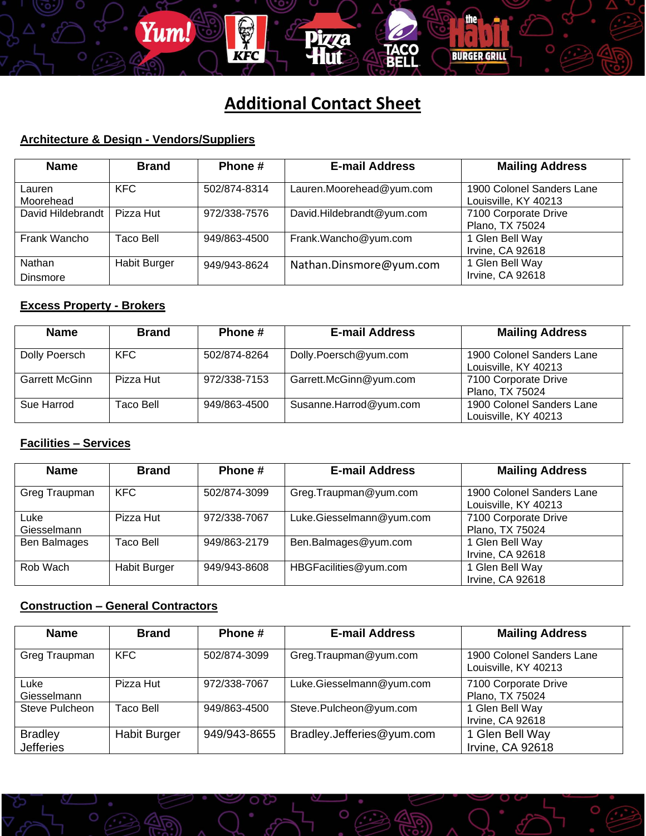# **Additional Contact Sheet**

**Pizza** 

iilll

**BURGER GRILL** 

#### **Architecture & Design - Vendors/Suppliers**

Yum!

**KFC** 

| <b>Name</b>               | <b>Brand</b>        | Phone#       | <b>E-mail Address</b>     | <b>Mailing Address</b>                            |
|---------------------------|---------------------|--------------|---------------------------|---------------------------------------------------|
| Lauren<br>Moorehead       | <b>KFC</b>          | 502/874-8314 | Lauren.Moorehead@yum.com  | 1900 Colonel Sanders Lane<br>Louisville, KY 40213 |
| David Hildebrandt         | Pizza Hut           | 972/338-7576 | David.Hildebrandt@yum.com | 7100 Corporate Drive<br>Plano, TX 75024           |
| Frank Wancho              | Taco Bell           | 949/863-4500 | Frank.Wancho@yum.com      | 1 Glen Bell Way<br>Irvine, CA 92618               |
| Nathan<br><b>Dinsmore</b> | <b>Habit Burger</b> | 949/943-8624 | Nathan.Dinsmore@yum.com   | 1 Glen Bell Way<br>Irvine, CA 92618               |

#### **Excess Property - Brokers**

| <b>Name</b>    | <b>Brand</b> | Phone #      | <b>E-mail Address</b>  | <b>Mailing Address</b>                            |
|----------------|--------------|--------------|------------------------|---------------------------------------------------|
| Dolly Poersch  | KFC          | 502/874-8264 | Dolly.Poersch@yum.com  | 1900 Colonel Sanders Lane<br>Louisville, KY 40213 |
| Garrett McGinn | Pizza Hut    | 972/338-7153 | Garrett.McGinn@yum.com | 7100 Corporate Drive<br>Plano, TX 75024           |
| Sue Harrod     | Taco Bell    | 949/863-4500 | Susanne.Harrod@yum.com | 1900 Colonel Sanders Lane<br>Louisville, KY 40213 |

#### **Facilities – Services**

| <b>Name</b>         | <b>Brand</b>        | Phone #      | <b>E-mail Address</b>    | <b>Mailing Address</b>                            |
|---------------------|---------------------|--------------|--------------------------|---------------------------------------------------|
| Greg Traupman       | <b>KFC</b>          | 502/874-3099 | Greg.Traupman@yum.com    | 1900 Colonel Sanders Lane<br>Louisville, KY 40213 |
| Luke<br>Giesselmann | Pizza Hut           | 972/338-7067 | Luke.Giesselmann@yum.com | 7100 Corporate Drive<br>Plano, TX 75024           |
| Ben Balmages        | Taco Bell           | 949/863-2179 | Ben.Balmages@yum.com     | 1 Glen Bell Way<br>Irvine, CA 92618               |
| Rob Wach            | <b>Habit Burger</b> | 949/943-8608 | HBGFacilities@yum.com    | 1 Glen Bell Way<br>Irvine, CA 92618               |

### **Construction – General Contractors**

| <b>Name</b>                        | <b>Brand</b>        | Phone #      | <b>E-mail Address</b>     | <b>Mailing Address</b>                            |
|------------------------------------|---------------------|--------------|---------------------------|---------------------------------------------------|
| Greg Traupman                      | <b>KFC</b>          | 502/874-3099 | Greg.Traupman@yum.com     | 1900 Colonel Sanders Lane<br>Louisville, KY 40213 |
| Lukel<br>Giesselmann               | Pizza Hut           | 972/338-7067 | Luke.Giesselmann@yum.com  | 7100 Corporate Drive<br>Plano, TX 75024           |
| Steve Pulcheon                     | Taco Bell           | 949/863-4500 | Steve.Pulcheon@yum.com    | 1 Glen Bell Way<br>Irvine, CA 92618               |
| <b>Bradley</b><br><b>Jefferies</b> | <b>Habit Burger</b> | 949/943-8655 | Bradley.Jefferies@yum.com | 1 Glen Bell Way<br>Irvine, CA 92618               |